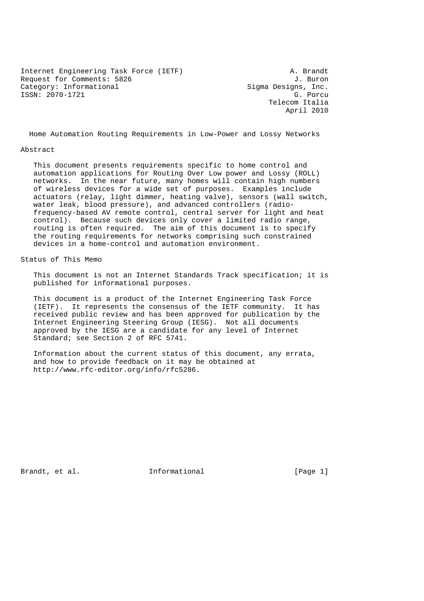Internet Engineering Task Force (IETF) A. Brandt Request for Comments: 5826 J. Buron Category: Informational Sigma Designs, Inc.<br>
ISSN: 2070-1721 (Research Control Control Control Control Control Control Control Control Control Control Control Control Control Control Control Control Control Control Control  $ISSN: 2070-1721$ 

 Telecom Italia April 2010

Home Automation Routing Requirements in Low-Power and Lossy Networks

#### Abstract

 This document presents requirements specific to home control and automation applications for Routing Over Low power and Lossy (ROLL) networks. In the near future, many homes will contain high numbers of wireless devices for a wide set of purposes. Examples include actuators (relay, light dimmer, heating valve), sensors (wall switch, water leak, blood pressure), and advanced controllers (radio frequency-based AV remote control, central server for light and heat control). Because such devices only cover a limited radio range, routing is often required. The aim of this document is to specify the routing requirements for networks comprising such constrained devices in a home-control and automation environment.

Status of This Memo

 This document is not an Internet Standards Track specification; it is published for informational purposes.

 This document is a product of the Internet Engineering Task Force (IETF). It represents the consensus of the IETF community. It has received public review and has been approved for publication by the Internet Engineering Steering Group (IESG). Not all documents approved by the IESG are a candidate for any level of Internet Standard; see Section 2 of RFC 5741.

 Information about the current status of this document, any errata, and how to provide feedback on it may be obtained at http://www.rfc-editor.org/info/rfc5286.

Brandt, et al. Informational [Page 1]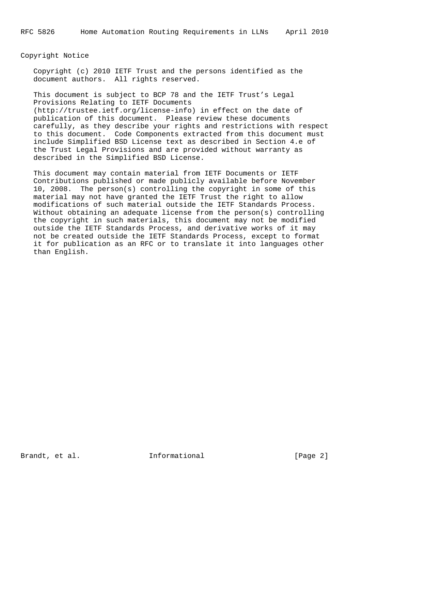Copyright Notice

 Copyright (c) 2010 IETF Trust and the persons identified as the document authors. All rights reserved.

 This document is subject to BCP 78 and the IETF Trust's Legal Provisions Relating to IETF Documents (http://trustee.ietf.org/license-info) in effect on the date of publication of this document. Please review these documents carefully, as they describe your rights and restrictions with respect to this document. Code Components extracted from this document must include Simplified BSD License text as described in Section 4.e of the Trust Legal Provisions and are provided without warranty as described in the Simplified BSD License.

 This document may contain material from IETF Documents or IETF Contributions published or made publicly available before November 10, 2008. The person(s) controlling the copyright in some of this material may not have granted the IETF Trust the right to allow modifications of such material outside the IETF Standards Process. Without obtaining an adequate license from the person(s) controlling the copyright in such materials, this document may not be modified outside the IETF Standards Process, and derivative works of it may not be created outside the IETF Standards Process, except to format it for publication as an RFC or to translate it into languages other than English.

Brandt, et al. Informational [Page 2]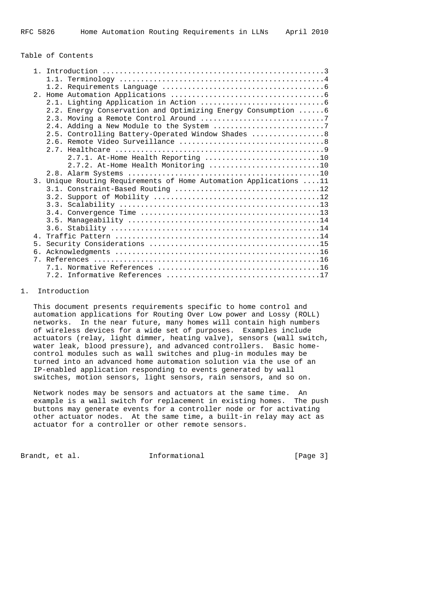### Table of Contents

|                | 2.2. Energy Conservation and Optimizing Energy Consumption  6     |
|----------------|-------------------------------------------------------------------|
|                |                                                                   |
|                |                                                                   |
|                | 2.5. Controlling Battery-Operated Window Shades  8                |
|                |                                                                   |
|                |                                                                   |
|                | 2.7.1. At-Home Health Reporting 10                                |
|                | 2.7.2. At-Home Health Monitoring 10                               |
|                |                                                                   |
|                | 3. Unique Routing Requirements of Home Automation Applications 11 |
|                |                                                                   |
|                |                                                                   |
|                |                                                                   |
|                |                                                                   |
|                |                                                                   |
|                |                                                                   |
| $\overline{4}$ |                                                                   |
| 5 <sub>1</sub> |                                                                   |
|                |                                                                   |
|                |                                                                   |
|                |                                                                   |
|                |                                                                   |

### 1. Introduction

 This document presents requirements specific to home control and automation applications for Routing Over Low power and Lossy (ROLL) networks. In the near future, many homes will contain high numbers of wireless devices for a wide set of purposes. Examples include actuators (relay, light dimmer, heating valve), sensors (wall switch, water leak, blood pressure), and advanced controllers. Basic home control modules such as wall switches and plug-in modules may be turned into an advanced home automation solution via the use of an IP-enabled application responding to events generated by wall switches, motion sensors, light sensors, rain sensors, and so on.

 Network nodes may be sensors and actuators at the same time. An example is a wall switch for replacement in existing homes. The push buttons may generate events for a controller node or for activating other actuator nodes. At the same time, a built-in relay may act as actuator for a controller or other remote sensors.

Brandt, et al. 1nformational [Page 3]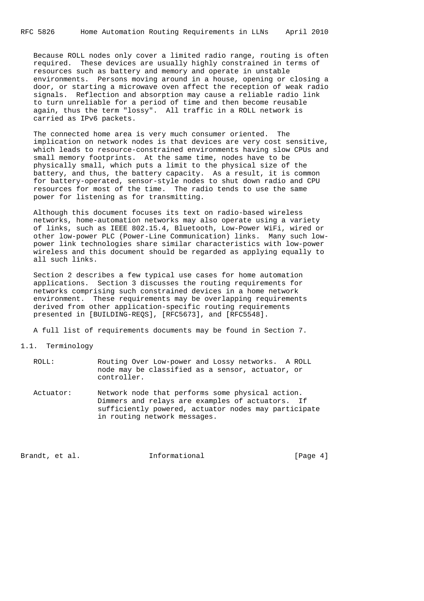Because ROLL nodes only cover a limited radio range, routing is often required. These devices are usually highly constrained in terms of resources such as battery and memory and operate in unstable environments. Persons moving around in a house, opening or closing a door, or starting a microwave oven affect the reception of weak radio signals. Reflection and absorption may cause a reliable radio link to turn unreliable for a period of time and then become reusable again, thus the term "lossy". All traffic in a ROLL network is carried as IPv6 packets.

 The connected home area is very much consumer oriented. The implication on network nodes is that devices are very cost sensitive, which leads to resource-constrained environments having slow CPUs and small memory footprints. At the same time, nodes have to be physically small, which puts a limit to the physical size of the battery, and thus, the battery capacity. As a result, it is common for battery-operated, sensor-style nodes to shut down radio and CPU resources for most of the time. The radio tends to use the same power for listening as for transmitting.

 Although this document focuses its text on radio-based wireless networks, home-automation networks may also operate using a variety of links, such as IEEE 802.15.4, Bluetooth, Low-Power WiFi, wired or other low-power PLC (Power-Line Communication) links. Many such low power link technologies share similar characteristics with low-power wireless and this document should be regarded as applying equally to all such links.

 Section 2 describes a few typical use cases for home automation applications. Section 3 discusses the routing requirements for networks comprising such constrained devices in a home network environment. These requirements may be overlapping requirements derived from other application-specific routing requirements presented in [BUILDING-REQS], [RFC5673], and [RFC5548].

A full list of requirements documents may be found in Section 7.

### 1.1. Terminology

| ROLL:     | Routing Over Low-power and Lossy networks. A ROLL<br>node may be classified as a sensor, actuator, or<br>controller.                                                                         |
|-----------|----------------------------------------------------------------------------------------------------------------------------------------------------------------------------------------------|
| Actuator: | Network node that performs some physical action.<br>Dimmers and relays are examples of actuators. If<br>sufficiently powered, actuator nodes may participate<br>in routing network messages. |

Brandt, et al. Informational [Page 4]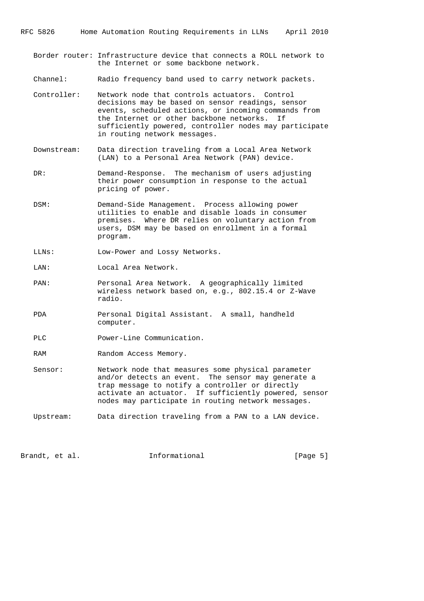- Border router: Infrastructure device that connects a ROLL network to the Internet or some backbone network.
- Channel: Radio frequency band used to carry network packets.
- Controller: Network node that controls actuators. Control decisions may be based on sensor readings, sensor events, scheduled actions, or incoming commands from the Internet or other backbone networks. If sufficiently powered, controller nodes may participate in routing network messages.
- Downstream: Data direction traveling from a Local Area Network (LAN) to a Personal Area Network (PAN) device.
- DR: Demand-Response. The mechanism of users adjusting their power consumption in response to the actual pricing of power.
- DSM: Demand-Side Management. Process allowing power utilities to enable and disable loads in consumer premises. Where DR relies on voluntary action from users, DSM may be based on enrollment in a formal program.
- LLNs: Low-Power and Lossy Networks.

LAN: Local Area Network.

- PAN: Personal Area Network. A geographically limited wireless network based on, e.g., 802.15.4 or Z-Wave radio.
- PDA Personal Digital Assistant. A small, handheld computer.
- PLC Power-Line Communication.
- RAM Random Access Memory.
- Sensor: Network node that measures some physical parameter and/or detects an event. The sensor may generate a trap message to notify a controller or directly activate an actuator. If sufficiently powered, sensor nodes may participate in routing network messages.
- Upstream: Data direction traveling from a PAN to a LAN device.

Brandt, et al. Informational [Page 5]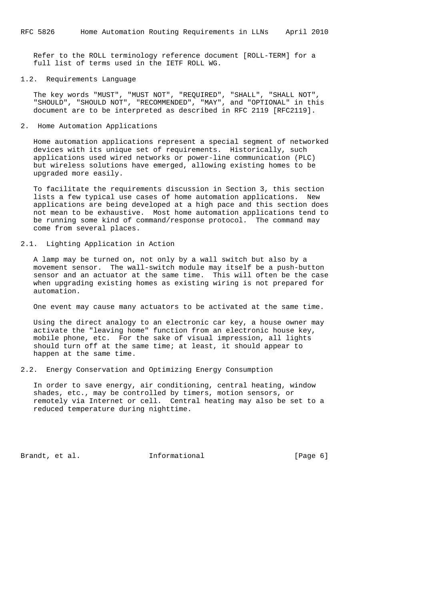Refer to the ROLL terminology reference document [ROLL-TERM] for a full list of terms used in the IETF ROLL WG.

## 1.2. Requirements Language

 The key words "MUST", "MUST NOT", "REQUIRED", "SHALL", "SHALL NOT", "SHOULD", "SHOULD NOT", "RECOMMENDED", "MAY", and "OPTIONAL" in this document are to be interpreted as described in RFC 2119 [RFC2119].

### 2. Home Automation Applications

 Home automation applications represent a special segment of networked devices with its unique set of requirements. Historically, such applications used wired networks or power-line communication (PLC) but wireless solutions have emerged, allowing existing homes to be upgraded more easily.

 To facilitate the requirements discussion in Section 3, this section lists a few typical use cases of home automation applications. New applications are being developed at a high pace and this section does not mean to be exhaustive. Most home automation applications tend to be running some kind of command/response protocol. The command may come from several places.

#### 2.1. Lighting Application in Action

 A lamp may be turned on, not only by a wall switch but also by a movement sensor. The wall-switch module may itself be a push-button sensor and an actuator at the same time. This will often be the case when upgrading existing homes as existing wiring is not prepared for automation.

One event may cause many actuators to be activated at the same time.

 Using the direct analogy to an electronic car key, a house owner may activate the "leaving home" function from an electronic house key, mobile phone, etc. For the sake of visual impression, all lights should turn off at the same time; at least, it should appear to happen at the same time.

### 2.2. Energy Conservation and Optimizing Energy Consumption

 In order to save energy, air conditioning, central heating, window shades, etc., may be controlled by timers, motion sensors, or remotely via Internet or cell. Central heating may also be set to a reduced temperature during nighttime.

Brandt, et al. **Informational** [Page 6]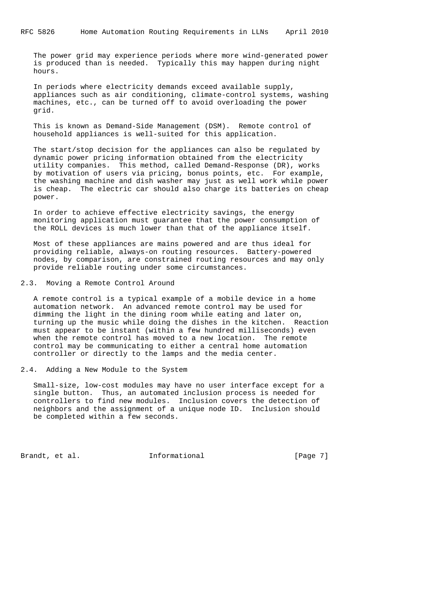The power grid may experience periods where more wind-generated power is produced than is needed. Typically this may happen during night hours.

 In periods where electricity demands exceed available supply, appliances such as air conditioning, climate-control systems, washing machines, etc., can be turned off to avoid overloading the power grid.

 This is known as Demand-Side Management (DSM). Remote control of household appliances is well-suited for this application.

 The start/stop decision for the appliances can also be regulated by dynamic power pricing information obtained from the electricity utility companies. This method, called Demand-Response (DR), works by motivation of users via pricing, bonus points, etc. For example, the washing machine and dish washer may just as well work while power is cheap. The electric car should also charge its batteries on cheap power.

 In order to achieve effective electricity savings, the energy monitoring application must guarantee that the power consumption of the ROLL devices is much lower than that of the appliance itself.

 Most of these appliances are mains powered and are thus ideal for providing reliable, always-on routing resources. Battery-powered nodes, by comparison, are constrained routing resources and may only provide reliable routing under some circumstances.

2.3. Moving a Remote Control Around

 A remote control is a typical example of a mobile device in a home automation network. An advanced remote control may be used for dimming the light in the dining room while eating and later on, turning up the music while doing the dishes in the kitchen. Reaction must appear to be instant (within a few hundred milliseconds) even when the remote control has moved to a new location. The remote control may be communicating to either a central home automation controller or directly to the lamps and the media center.

2.4. Adding a New Module to the System

 Small-size, low-cost modules may have no user interface except for a single button. Thus, an automated inclusion process is needed for controllers to find new modules. Inclusion covers the detection of neighbors and the assignment of a unique node ID. Inclusion should be completed within a few seconds.

Brandt, et al. Informational [Page 7]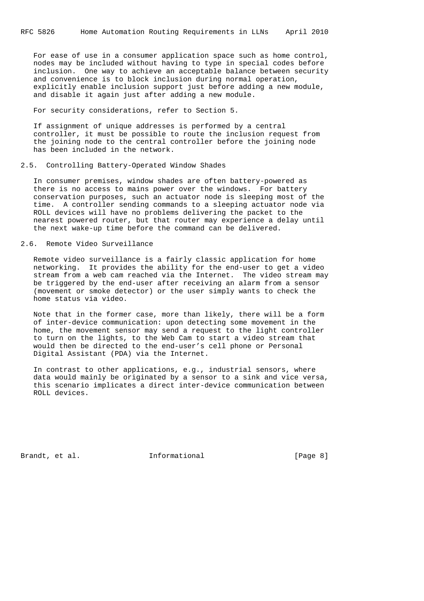For ease of use in a consumer application space such as home control, nodes may be included without having to type in special codes before inclusion. One way to achieve an acceptable balance between security and convenience is to block inclusion during normal operation, explicitly enable inclusion support just before adding a new module, and disable it again just after adding a new module.

### For security considerations, refer to Section 5.

 If assignment of unique addresses is performed by a central controller, it must be possible to route the inclusion request from the joining node to the central controller before the joining node has been included in the network.

### 2.5. Controlling Battery-Operated Window Shades

 In consumer premises, window shades are often battery-powered as there is no access to mains power over the windows. For battery conservation purposes, such an actuator node is sleeping most of the time. A controller sending commands to a sleeping actuator node via ROLL devices will have no problems delivering the packet to the nearest powered router, but that router may experience a delay until the next wake-up time before the command can be delivered.

## 2.6. Remote Video Surveillance

 Remote video surveillance is a fairly classic application for home networking. It provides the ability for the end-user to get a video stream from a web cam reached via the Internet. The video stream may be triggered by the end-user after receiving an alarm from a sensor (movement or smoke detector) or the user simply wants to check the home status via video.

 Note that in the former case, more than likely, there will be a form of inter-device communication: upon detecting some movement in the home, the movement sensor may send a request to the light controller to turn on the lights, to the Web Cam to start a video stream that would then be directed to the end-user's cell phone or Personal Digital Assistant (PDA) via the Internet.

 In contrast to other applications, e.g., industrial sensors, where data would mainly be originated by a sensor to a sink and vice versa, this scenario implicates a direct inter-device communication between ROLL devices.

Brandt, et al. **Informational** [Page 8]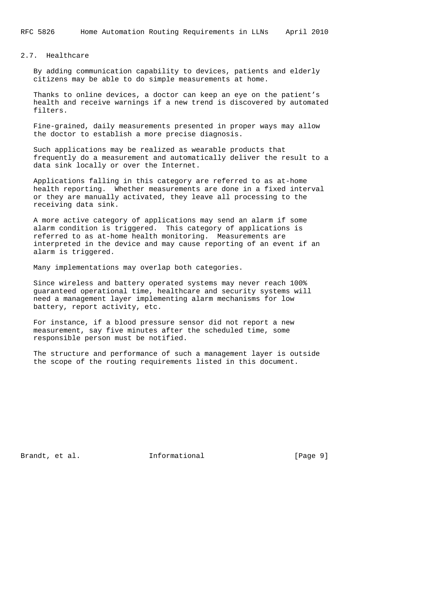### 2.7. Healthcare

 By adding communication capability to devices, patients and elderly citizens may be able to do simple measurements at home.

 Thanks to online devices, a doctor can keep an eye on the patient's health and receive warnings if a new trend is discovered by automated filters.

 Fine-grained, daily measurements presented in proper ways may allow the doctor to establish a more precise diagnosis.

 Such applications may be realized as wearable products that frequently do a measurement and automatically deliver the result to a data sink locally or over the Internet.

 Applications falling in this category are referred to as at-home health reporting. Whether measurements are done in a fixed interval or they are manually activated, they leave all processing to the receiving data sink.

 A more active category of applications may send an alarm if some alarm condition is triggered. This category of applications is referred to as at-home health monitoring. Measurements are interpreted in the device and may cause reporting of an event if an alarm is triggered.

Many implementations may overlap both categories.

 Since wireless and battery operated systems may never reach 100% guaranteed operational time, healthcare and security systems will need a management layer implementing alarm mechanisms for low battery, report activity, etc.

 For instance, if a blood pressure sensor did not report a new measurement, say five minutes after the scheduled time, some responsible person must be notified.

 The structure and performance of such a management layer is outside the scope of the routing requirements listed in this document.

Brandt, et al. Informational [Page 9]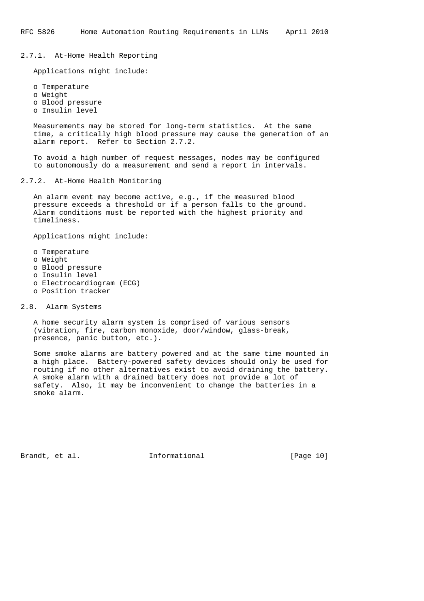2.7.1. At-Home Health Reporting

Applications might include:

 o Temperature o Weight o Blood pressure o Insulin level

 Measurements may be stored for long-term statistics. At the same time, a critically high blood pressure may cause the generation of an alarm report. Refer to Section 2.7.2.

 To avoid a high number of request messages, nodes may be configured to autonomously do a measurement and send a report in intervals.

2.7.2. At-Home Health Monitoring

 An alarm event may become active, e.g., if the measured blood pressure exceeds a threshold or if a person falls to the ground. Alarm conditions must be reported with the highest priority and timeliness.

Applications might include:

- o Temperature
- o Weight
- o Blood pressure
- o Insulin level
- o Electrocardiogram (ECG)
- o Position tracker

2.8. Alarm Systems

 A home security alarm system is comprised of various sensors (vibration, fire, carbon monoxide, door/window, glass-break, presence, panic button, etc.).

 Some smoke alarms are battery powered and at the same time mounted in a high place. Battery-powered safety devices should only be used for routing if no other alternatives exist to avoid draining the battery. A smoke alarm with a drained battery does not provide a lot of safety. Also, it may be inconvenient to change the batteries in a smoke alarm.

Brandt, et al. Informational [Page 10]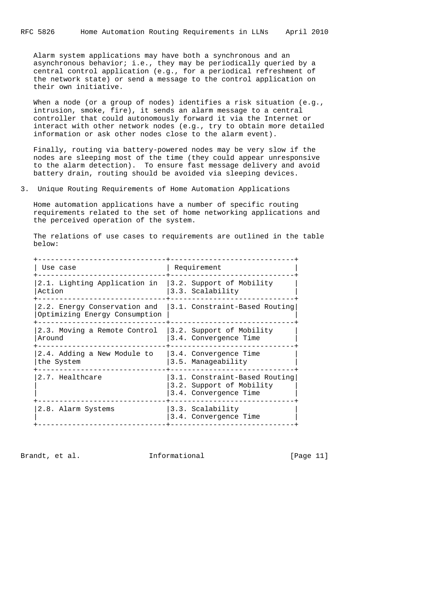Alarm system applications may have both a synchronous and an asynchronous behavior; i.e., they may be periodically queried by a central control application (e.g., for a periodical refreshment of the network state) or send a message to the control application on their own initiative.

When a node (or a group of nodes) identifies a risk situation (e.g., intrusion, smoke, fire), it sends an alarm message to a central controller that could autonomously forward it via the Internet or interact with other network nodes (e.g., try to obtain more detailed information or ask other nodes close to the alarm event).

 Finally, routing via battery-powered nodes may be very slow if the nodes are sleeping most of the time (they could appear unresponsive to the alarm detection). To ensure fast message delivery and avoid battery drain, routing should be avoided via sleeping devices.

3. Unique Routing Requirements of Home Automation Applications

 Home automation applications have a number of specific routing requirements related to the set of home networking applications and the perceived operation of the system.

 The relations of use cases to requirements are outlined in the table below:

| Use case                                                      | Requirement                                                                        |
|---------------------------------------------------------------|------------------------------------------------------------------------------------|
| 2.1. Lighting Application in<br>Action                        | 3.2. Support of Mobility<br>3.3. Scalability                                       |
| 2.2. Energy Conservation and<br>Optimizing Energy Consumption | 3.1. Constraint-Based Routing                                                      |
| 2.3. Moving a Remote Control<br>Around                        | 3.2. Support of Mobility<br>3.4. Convergence Time                                  |
| 2.4. Adding a New Module to<br>the System                     | 3.4. Convergence Time<br>3.5. Manageability                                        |
| 2.7. Healthcare                                               | 3.1. Constraint-Based Routing<br>3.2. Support of Mobility<br>3.4. Convergence Time |
| 2.8. Alarm Systems                                            | 3.3. Scalability<br>3.4. Convergence Time                                          |
|                                                               |                                                                                    |

Brandt, et al. Informational [Page 11]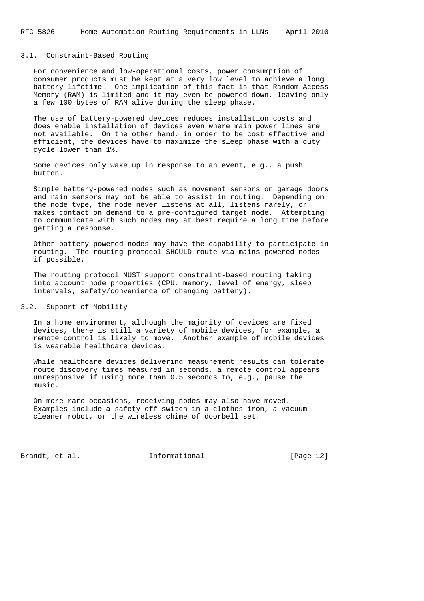#### 3.1. Constraint-Based Routing

 For convenience and low-operational costs, power consumption of consumer products must be kept at a very low level to achieve a long battery lifetime. One implication of this fact is that Random Access Memory (RAM) is limited and it may even be powered down, leaving only a few 100 bytes of RAM alive during the sleep phase.

 The use of battery-powered devices reduces installation costs and does enable installation of devices even where main power lines are not available. On the other hand, in order to be cost effective and efficient, the devices have to maximize the sleep phase with a duty cycle lower than 1%.

 Some devices only wake up in response to an event, e.g., a push button.

 Simple battery-powered nodes such as movement sensors on garage doors and rain sensors may not be able to assist in routing. Depending on the node type, the node never listens at all, listens rarely, or makes contact on demand to a pre-configured target node. Attempting to communicate with such nodes may at best require a long time before getting a response.

 Other battery-powered nodes may have the capability to participate in routing. The routing protocol SHOULD route via mains-powered nodes if possible.

 The routing protocol MUST support constraint-based routing taking into account node properties (CPU, memory, level of energy, sleep intervals, safety/convenience of changing battery).

3.2. Support of Mobility

 In a home environment, although the majority of devices are fixed devices, there is still a variety of mobile devices, for example, a remote control is likely to move. Another example of mobile devices is wearable healthcare devices.

 While healthcare devices delivering measurement results can tolerate route discovery times measured in seconds, a remote control appears unresponsive if using more than 0.5 seconds to, e.g., pause the music.

 On more rare occasions, receiving nodes may also have moved. Examples include a safety-off switch in a clothes iron, a vacuum cleaner robot, or the wireless chime of doorbell set.

Brandt, et al. 1nformational [Page 12]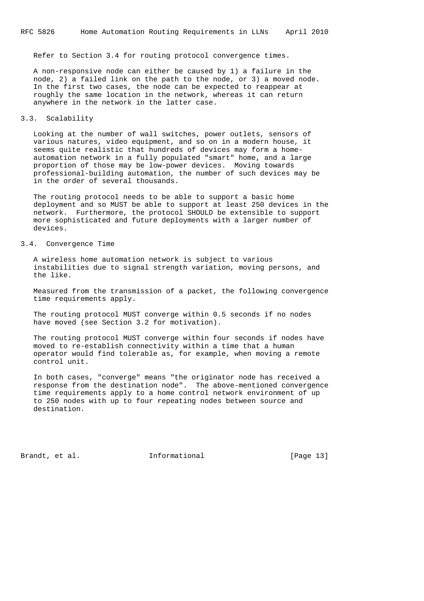Refer to Section 3.4 for routing protocol convergence times.

 A non-responsive node can either be caused by 1) a failure in the node, 2) a failed link on the path to the node, or 3) a moved node. In the first two cases, the node can be expected to reappear at roughly the same location in the network, whereas it can return anywhere in the network in the latter case.

### 3.3. Scalability

 Looking at the number of wall switches, power outlets, sensors of various natures, video equipment, and so on in a modern house, it seems quite realistic that hundreds of devices may form a home automation network in a fully populated "smart" home, and a large proportion of those may be low-power devices. Moving towards professional-building automation, the number of such devices may be in the order of several thousands.

 The routing protocol needs to be able to support a basic home deployment and so MUST be able to support at least 250 devices in the network. Furthermore, the protocol SHOULD be extensible to support more sophisticated and future deployments with a larger number of devices.

## 3.4. Convergence Time

 A wireless home automation network is subject to various instabilities due to signal strength variation, moving persons, and the like.

 Measured from the transmission of a packet, the following convergence time requirements apply.

 The routing protocol MUST converge within 0.5 seconds if no nodes have moved (see Section 3.2 for motivation).

 The routing protocol MUST converge within four seconds if nodes have moved to re-establish connectivity within a time that a human operator would find tolerable as, for example, when moving a remote control unit.

 In both cases, "converge" means "the originator node has received a response from the destination node". The above-mentioned convergence time requirements apply to a home control network environment of up to 250 nodes with up to four repeating nodes between source and destination.

Brandt, et al. Informational [Page 13]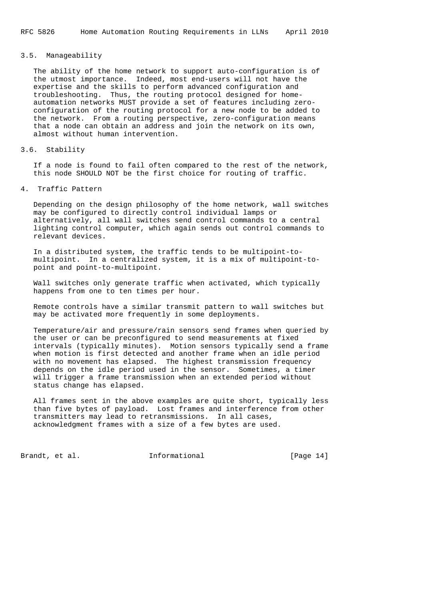### 3.5. Manageability

 The ability of the home network to support auto-configuration is of the utmost importance. Indeed, most end-users will not have the expertise and the skills to perform advanced configuration and troubleshooting. Thus, the routing protocol designed for home automation networks MUST provide a set of features including zero configuration of the routing protocol for a new node to be added to the network. From a routing perspective, zero-configuration means that a node can obtain an address and join the network on its own, almost without human intervention.

### 3.6. Stability

 If a node is found to fail often compared to the rest of the network, this node SHOULD NOT be the first choice for routing of traffic.

### 4. Traffic Pattern

 Depending on the design philosophy of the home network, wall switches may be configured to directly control individual lamps or alternatively, all wall switches send control commands to a central lighting control computer, which again sends out control commands to relevant devices.

 In a distributed system, the traffic tends to be multipoint-to multipoint. In a centralized system, it is a mix of multipoint-to point and point-to-multipoint.

 Wall switches only generate traffic when activated, which typically happens from one to ten times per hour.

 Remote controls have a similar transmit pattern to wall switches but may be activated more frequently in some deployments.

 Temperature/air and pressure/rain sensors send frames when queried by the user or can be preconfigured to send measurements at fixed intervals (typically minutes). Motion sensors typically send a frame when motion is first detected and another frame when an idle period with no movement has elapsed. The highest transmission frequency depends on the idle period used in the sensor. Sometimes, a timer will trigger a frame transmission when an extended period without status change has elapsed.

 All frames sent in the above examples are quite short, typically less than five bytes of payload. Lost frames and interference from other transmitters may lead to retransmissions. In all cases, acknowledgment frames with a size of a few bytes are used.

Brandt, et al. Informational [Page 14]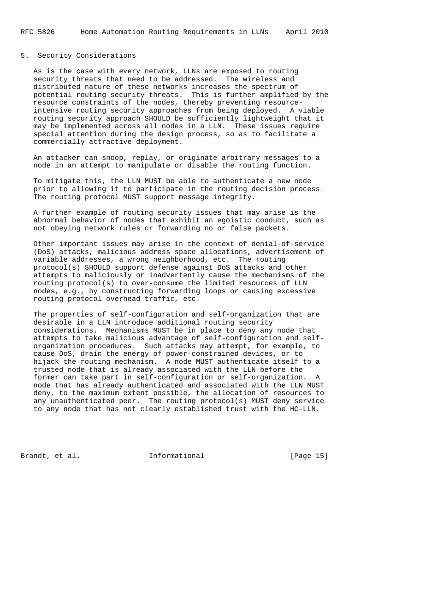### 5. Security Considerations

 As is the case with every network, LLNs are exposed to routing security threats that need to be addressed. The wireless and distributed nature of these networks increases the spectrum of potential routing security threats. This is further amplified by the resource constraints of the nodes, thereby preventing resource intensive routing security approaches from being deployed. A viable routing security approach SHOULD be sufficiently lightweight that it may be implemented across all nodes in a LLN. These issues require special attention during the design process, so as to facilitate a commercially attractive deployment.

 An attacker can snoop, replay, or originate arbitrary messages to a node in an attempt to manipulate or disable the routing function.

 To mitigate this, the LLN MUST be able to authenticate a new node prior to allowing it to participate in the routing decision process. The routing protocol MUST support message integrity.

 A further example of routing security issues that may arise is the abnormal behavior of nodes that exhibit an egoistic conduct, such as not obeying network rules or forwarding no or false packets.

 Other important issues may arise in the context of denial-of-service (DoS) attacks, malicious address space allocations, advertisement of variable addresses, a wrong neighborhood, etc. The routing protocol(s) SHOULD support defense against DoS attacks and other attempts to maliciously or inadvertently cause the mechanisms of the routing protocol(s) to over-consume the limited resources of LLN nodes, e.g., by constructing forwarding loops or causing excessive routing protocol overhead traffic, etc.

 The properties of self-configuration and self-organization that are desirable in a LLN introduce additional routing security considerations. Mechanisms MUST be in place to deny any node that attempts to take malicious advantage of self-configuration and self organization procedures. Such attacks may attempt, for example, to cause DoS, drain the energy of power-constrained devices, or to hijack the routing mechanism. A node MUST authenticate itself to a trusted node that is already associated with the LLN before the former can take part in self-configuration or self-organization. A node that has already authenticated and associated with the LLN MUST deny, to the maximum extent possible, the allocation of resources to any unauthenticated peer. The routing protocol(s) MUST deny service to any node that has not clearly established trust with the HC-LLN.

Brandt, et al. Informational [Page 15]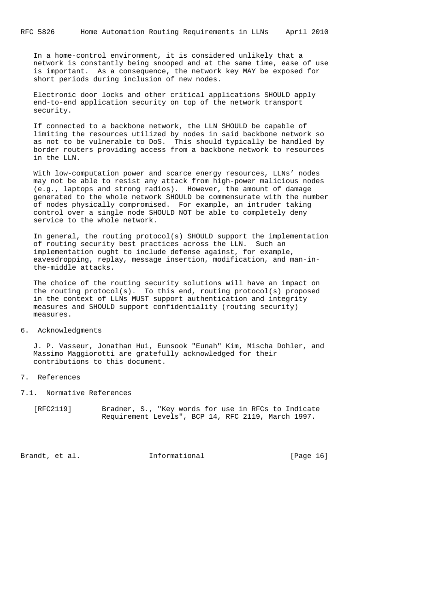In a home-control environment, it is considered unlikely that a network is constantly being snooped and at the same time, ease of use is important. As a consequence, the network key MAY be exposed for short periods during inclusion of new nodes.

 Electronic door locks and other critical applications SHOULD apply end-to-end application security on top of the network transport security.

 If connected to a backbone network, the LLN SHOULD be capable of limiting the resources utilized by nodes in said backbone network so as not to be vulnerable to DoS. This should typically be handled by border routers providing access from a backbone network to resources in the LLN.

 With low-computation power and scarce energy resources, LLNs' nodes may not be able to resist any attack from high-power malicious nodes (e.g., laptops and strong radios). However, the amount of damage generated to the whole network SHOULD be commensurate with the number of nodes physically compromised. For example, an intruder taking control over a single node SHOULD NOT be able to completely deny service to the whole network.

 In general, the routing protocol(s) SHOULD support the implementation of routing security best practices across the LLN. Such an implementation ought to include defense against, for example, eavesdropping, replay, message insertion, modification, and man-in the-middle attacks.

 The choice of the routing security solutions will have an impact on the routing protocol(s). To this end, routing protocol(s) proposed in the context of LLNs MUST support authentication and integrity measures and SHOULD support confidentiality (routing security) measures.

### 6. Acknowledgments

 J. P. Vasseur, Jonathan Hui, Eunsook "Eunah" Kim, Mischa Dohler, and Massimo Maggiorotti are gratefully acknowledged for their contributions to this document.

### 7. References

- 7.1. Normative References
	- [RFC2119] Bradner, S., "Key words for use in RFCs to Indicate Requirement Levels", BCP 14, RFC 2119, March 1997.

Brandt, et al. **Informational** [Page 16]